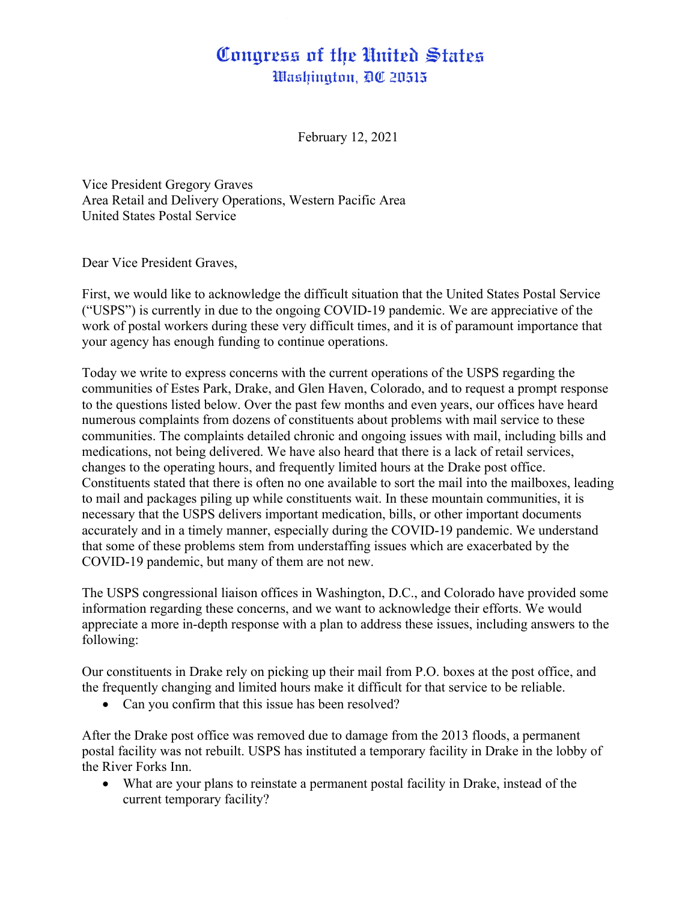## Congress of the United States Washington, DC 20515

February 12, 2021

Vice President Gregory Graves Area Retail and Delivery Operations, Western Pacific Area United States Postal Service

Dear Vice President Graves,

First, we would like to acknowledge the difficult situation that the United States Postal Service ("USPS") is currently in due to the ongoing COVID-19 pandemic. We are appreciative of the work of postal workers during these very difficult times, and it is of paramount importance that your agency has enough funding to continue operations.

Today we write to express concerns with the current operations of the USPS regarding the communities of Estes Park, Drake, and Glen Haven, Colorado, and to request a prompt response to the questions listed below. Over the past few months and even years, our offices have heard numerous complaints from dozens of constituents about problems with mail service to these communities. The complaints detailed chronic and ongoing issues with mail, including bills and medications, not being delivered. We have also heard that there is a lack of retail services, changes to the operating hours, and frequently limited hours at the Drake post office. Constituents stated that there is often no one available to sort the mail into the mailboxes, leading to mail and packages piling up while constituents wait. In these mountain communities, it is necessary that the USPS delivers important medication, bills, or other important documents accurately and in a timely manner, especially during the COVID-19 pandemic. We understand that some of these problems stem from understaffing issues which are exacerbated by the COVID-19 pandemic, but many of them are not new.

The USPS congressional liaison offices in Washington, D.C., and Colorado have provided some information regarding these concerns, and we want to acknowledge their efforts. We would appreciate a more in-depth response with a plan to address these issues, including answers to the following:

Our constituents in Drake rely on picking up their mail from P.O. boxes at the post office, and the frequently changing and limited hours make it difficult for that service to be reliable.

• Can you confirm that this issue has been resolved?

After the Drake post office was removed due to damage from the 2013 floods, a permanent postal facility was not rebuilt. USPS has instituted a temporary facility in Drake in the lobby of the River Forks Inn.

• What are your plans to reinstate a permanent postal facility in Drake, instead of the current temporary facility?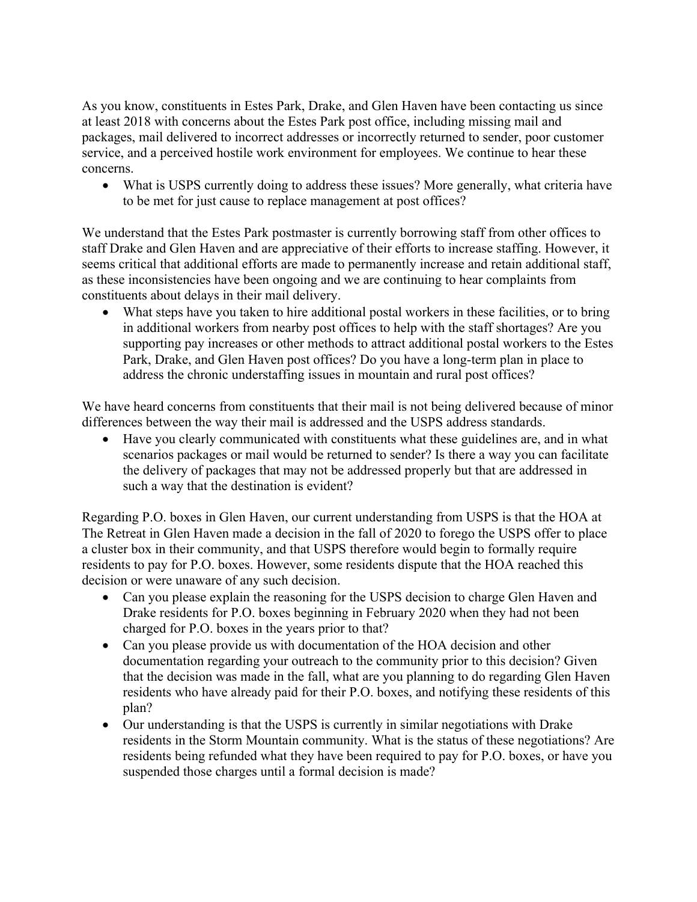As you know, constituents in Estes Park, Drake, and Glen Haven have been contacting us since at least 2018 with concerns about the Estes Park post office, including missing mail and packages, mail delivered to incorrect addresses or incorrectly returned to sender, poor customer service, and a perceived hostile work environment for employees. We continue to hear these concerns.

• What is USPS currently doing to address these issues? More generally, what criteria have to be met for just cause to replace management at post offices?

We understand that the Estes Park postmaster is currently borrowing staff from other offices to staff Drake and Glen Haven and are appreciative of their efforts to increase staffing. However, it seems critical that additional efforts are made to permanently increase and retain additional staff, as these inconsistencies have been ongoing and we are continuing to hear complaints from constituents about delays in their mail delivery.

• What steps have you taken to hire additional postal workers in these facilities, or to bring in additional workers from nearby post offices to help with the staff shortages? Are you supporting pay increases or other methods to attract additional postal workers to the Estes Park, Drake, and Glen Haven post offices? Do you have a long-term plan in place to address the chronic understaffing issues in mountain and rural post offices?

We have heard concerns from constituents that their mail is not being delivered because of minor differences between the way their mail is addressed and the USPS address standards.

• Have you clearly communicated with constituents what these guidelines are, and in what scenarios packages or mail would be returned to sender? Is there a way you can facilitate the delivery of packages that may not be addressed properly but that are addressed in such a way that the destination is evident?

Regarding P.O. boxes in Glen Haven, our current understanding from USPS is that the HOA at The Retreat in Glen Haven made a decision in the fall of 2020 to forego the USPS offer to place a cluster box in their community, and that USPS therefore would begin to formally require residents to pay for P.O. boxes. However, some residents dispute that the HOA reached this decision or were unaware of any such decision.

- Can you please explain the reasoning for the USPS decision to charge Glen Haven and Drake residents for P.O. boxes beginning in February 2020 when they had not been charged for P.O. boxes in the years prior to that?
- Can you please provide us with documentation of the HOA decision and other documentation regarding your outreach to the community prior to this decision? Given that the decision was made in the fall, what are you planning to do regarding Glen Haven residents who have already paid for their P.O. boxes, and notifying these residents of this plan?
- Our understanding is that the USPS is currently in similar negotiations with Drake residents in the Storm Mountain community. What is the status of these negotiations? Are residents being refunded what they have been required to pay for P.O. boxes, or have you suspended those charges until a formal decision is made?